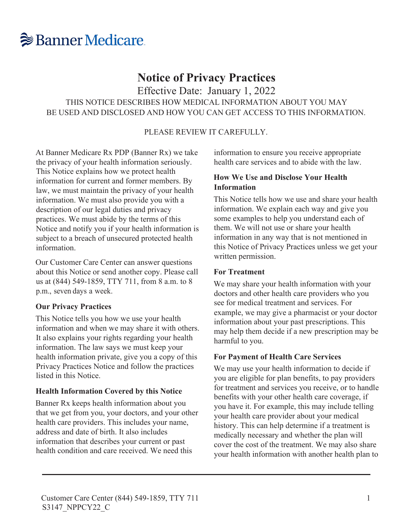

# **Notice of Privacy Practices**

Effective Date: January 1, 2022

THIS NOTICE DESCRIBES HOW MEDICAL INFORMATION ABOUT YOU MAY BE USED AND DISCLOSED AND HOW YOU CAN GET ACCESS TO THIS INFORMATION.

#### PLEASE REVIEW IT CAREFULLY.

At Banner Medicare Rx PDP (Banner Rx) we take the privacy of your health information seriously. This Notice explains how we protect health information for current and former members. By law, we must maintain the privacy of your health information. We must also provide you with a description of our legal duties and privacy practices. We must abide by the terms of this Notice and notify you if your health information is subject to a breach of unsecured protected health information.

Our Customer Care Center can answer questions about this Notice or send another copy. Please call us at (844) 549-1859, TTY 711, from 8 a.m. to 8 p.m., seven days a week.

#### **Our Privacy Practices**

This Notice tells you how we use your health information and when we may share it with others. It also explains your rights regarding your health information. The law says we must keep your health information private, give you a copy of this Privacy Practices Notice and follow the practices listed in this Notice.

#### **Health Information Covered by this Notice**

Banner Rx keeps health information about you that we get from you, your doctors, and your other health care providers. This includes your name, address and date of birth. It also includes information that describes your current or past health condition and care received. We need this

information to ensure you receive appropriate health care services and to abide with the law.

## **How We Use and Disclose Your Health Information**

This Notice tells how we use and share your health information. We explain each way and give you some examples to help you understand each of them. We will not use or share your health information in any way that is not mentioned in this Notice of Privacy Practices unless we get your written permission.

#### **For Treatment**

We may share your health information with your doctors and other health care providers who you see for medical treatment and services. For example, we may give a pharmacist or your doctor information about your past prescriptions. This may help them decide if a new prescription may be harmful to you.

#### **For Payment of Health Care Services**

We may use your health information to decide if you are eligible for plan benefits, to pay providers for treatment and services you receive, or to handle benefits with your other health care coverage, if you have it. For example, this may include telling your health care provider about your medical history. This can help determine if a treatment is medically necessary and whether the plan will cover the cost of the treatment. We may also share your health information with another health plan to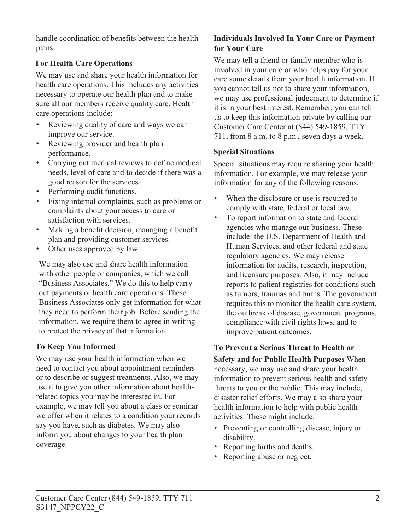handle coordination of benefits between the health plans.

# **For Health Care Operations**

We may use and share your health information for health care operations. This includes any activities necessary to operate our health plan and to make sure all our members receive quality care. Health care operations include:

- Reviewing quality of care and ways we can improve our service.
- Reviewing provider and health plan performance.
- Carrying out medical reviews to define medical needs, level of care and to decide if there was a good reason for the services.
- Performing audit functions.
- Fixing internal complaints, such as problems or complaints about your access to care or satisfaction with services.
- Making a benefit decision, managing a benefit plan and providing customer services.
- Other uses approved by law.

We may also use and share health information with other people or companies, which we call "Business Associates." We do this to help carry out payments or health care operations. These Business Associates only get information for what they need to perform their job. Before sending the information, we require them to agree in writing to protect the privacy of that information.

# **To Keep You Informed**

We may use your health information when we need to contact you about appointment reminders or to describe or suggest treatments. Also, we may use it to give you other information about healthrelated topics you may be interested in. For example, we may tell you about a class or seminar we offer when it relates to a condition your records say you have, such as diabetes. We may also inform you about changes to your health plan coverage.

# **Individuals Involved In Your Care or Payment for Your Care**

We may tell a friend or family member who is involved in your care or who helps pay for your care some details from your health information. If you cannot tell us not to share your information, we may use professional judgement to determine if it is in your best interest. Remember, you can tell us to keep this information private by calling our Customer Care Center at (844) 549-1859, TTY 711, from 8 a.m. to 8 p.m., seven days a week.

## **Special Situations**

Special situations may require sharing your health information. For example, we may release your information for any of the following reasons:

- When the disclosure or use is required to comply with state, federal or local law.
- To report information to state and federal agencies who manage our business. These include: the U.S. Department of Health and Human Services, and other federal and state regulatory agencies. We may release information for audits, research, inspection, and licensure purposes. Also, it may include reports to patient registries for conditions such as tumors, traumas and burns. The government requires this to monitor the health care system, the outbreak of disease, government programs, compliance with civil rights laws, and to improve patient outcomes.

#### **To Prevent a Serious Threat to Health or Safety and for Public Health Purposes** When necessary, we may use and share your health information to prevent serious health and safety threats to you or the public. This may include, disaster relief efforts. We may also share your health information to help with public health activities. These might include:

- Preventing or controlling disease, injury or disability.
- Reporting births and deaths.
- Reporting abuse or neglect.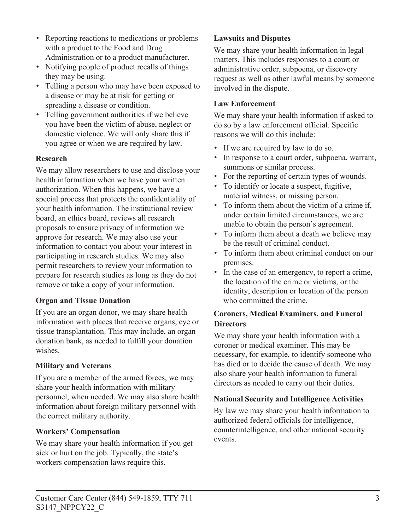- Notifying people of product recalls of things they may be using.
- Telling a person who may have been exposed to a disease or may be at risk for getting or spreading a disease or condition.
- Telling government authorities if we believe you have been the victim of abuse, neglect or domestic violence. We will only share this if you agree or when we are required by law.

# **Research**

We may allow researchers to use and disclose your health information when we have your written authorization. When this happens, we have a special process that protects the confidentiality of your health information. The institutional review board, an ethics board, reviews all research proposals to ensure privacy of information we approve for research. We may also use your information to contact you about your interest in participating in research studies. We may also permit researchers to review your information to prepare for research studies as long as they do not remove or take a copy of your information.

## **Organ and Tissue Donation**

If you are an organ donor, we may share health information with places that receive organs, eye or tissue transplantation. This may include, an organ donation bank, as needed to fulfill your donation wishes.

## **Military and Veterans**

If you are a member of the armed forces, we may share your health information with military personnel, when needed. We may also share health information about foreign military personnel with the correct military authority.

## **Workers' Compensation**

We may share your health information if you get sick or hurt on the job. Typically, the state's workers compensation laws require this.

# **Lawsuits and Disputes**

We may share your health information in legal matters. This includes responses to a court or administrative order, subpoena, or discovery request as well as other lawful means by someone involved in the dispute.

# **Law Enforcement**

We may share your health information if asked to do so by a law enforcement official. Specific reasons we will do this include:

- If we are required by law to do so.
- In response to a court order, subpoena, warrant, summons or similar process.
- For the reporting of certain types of wounds.
- To identify or locate a suspect, fugitive, material witness, or missing person.
- To inform them about the victim of a crime if, under certain limited circumstances, we are unable to obtain the person's agreement.
- To inform them about a death we believe may be the result of criminal conduct.
- To inform them about criminal conduct on our premises.
- In the case of an emergency, to report a crime, the location of the crime or victims, or the identity, description or location of the person who committed the crime.

# **Coroners, Medical Examiners, and Funeral Directors**

We may share your health information with a coroner or medical examiner. This may be necessary, for example, to identify someone who has died or to decide the cause of death. We may also share your health information to funeral directors as needed to carry out their duties.

# **National Security and Intelligence Activities**

By law we may share your health information to authorized federal officials for intelligence, counterintelligence, and other national security events.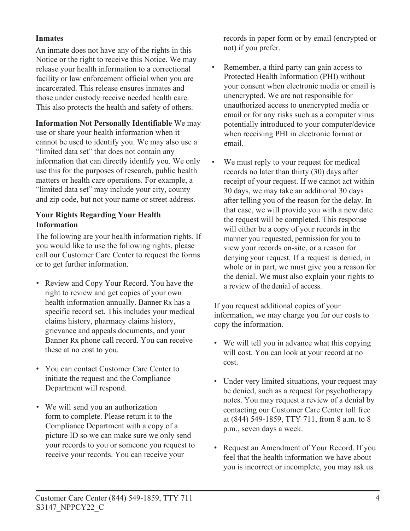## **Inmates**

An inmate does not have any of the rights in this Notice or the right to receive this Notice. We may release your health information to a correctional facility or law enforcement official when you are incarcerated. This release ensures inmates and those under custody receive needed health care. This also protects the health and safety of others.

**Information Not Personally Identifiable** We may use or share your health information when it cannot be used to identify you. We may also use a "limited data set" that does not contain any information that can directly identify you. We only use this for the purposes of research, public health matters or health care operations. For example, a "limited data set" may include your city, county and zip code, but not your name or street address.

# **Your Rights Regarding Your Health Information**

The following are your health information rights. If you would like to use the following rights, please call our Customer Care Center to request the forms or to get further information.

- Review and Copy Your Record. You have the right to review and get copies of your own health information annually. Banner Rx has a specific record set. This includes your medical claims history, pharmacy claims history, grievance and appeals documents, and your Banner Rx phone call record. You can receive these at no cost to you.
- You can contact Customer Care Center to initiate the request and the Compliance Department will respond.
- We will send you an authorization form to complete. Please return it to the Compliance Department with a copy of a picture ID so we can make sure we only send your records to you or someone you request to receive your records. You can receive your

records in paper form or by email (encrypted or not) if you prefer.

- Remember, a third party can gain access to Protected Health Information (PHI) without your consent when electronic media or email is unencrypted. We are not responsible for unauthorized access to unencrypted media or email or for any risks such as a computer virus potentially introduced to your computer/device when receiving PHI in electronic format or email.
- We must reply to your request for medical records no later than thirty (30) days after receipt of your request. If we cannot act within 30 days, we may take an additional 30 days after telling you of the reason for the delay. In that case, we will provide you with a new date the request will be completed. This response will either be a copy of your records in the manner you requested, permission for you to view your records on-site, or a reason for denying your request. If a request is denied, in whole or in part, we must give you a reason for the denial. We must also explain your rights to a review of the denial of access.

If you request additional copies of your information, we may charge you for our costs to copy the information.

- We will tell you in advance what this copying will cost. You can look at your record at no cost.
- Under very limited situations, your request may be denied, such as a request for psychotherapy notes. You may request a review of a denial by contacting our Customer Care Center toll free at (844) 549-1859, TTY 711, from 8 a.m. to 8 p.m., seven days a week.
- Request an Amendment of Your Record. If you feel that the health information we have about you is incorrect or incomplete, you may ask us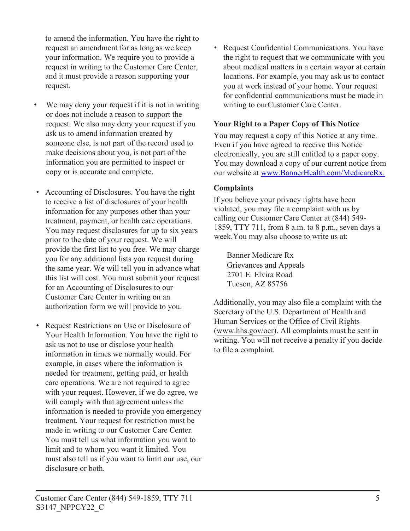to amend the information. You have the right to request an amendment for as long as we keep your information. We require you to provide a request in writing to the Customer Care Center, and it must provide a reason supporting your request.

- We may deny your request if it is not in writing or does not include a reason to support the request. We also may deny your request if you ask us to amend information created by someone else, is not part of the record used to make decisions about you, is not part of the information you are permitted to inspect or copy or is accurate and complete.
- Accounting of Disclosures. You have the right to receive a list of disclosures of your health information for any purposes other than your treatment, payment, or health care operations. You may request disclosures for up to six years prior to the date of your request. We will provide the first list to you free. We may charge you for any additional lists you request during the same year. We will tell you in advance what this list will cost. You must submit your request for an Accounting of Disclosures to our Customer Care Center in writing on an authorization form we will provide to you.
- Request Restrictions on Use or Disclosure of Your Health Information. You have the right to ask us not to use or disclose your health information in times we normally would. For example, in cases where the information is needed for treatment, getting paid, or health care operations. We are not required to agree with your request. However, if we do agree, we will comply with that agreement unless the information is needed to provide you emergency treatment. Your request for restriction must be made in writing to our Customer Care Center. You must tell us what information you want to limit and to whom you want it limited. You must also tell us if you want to limit our use, our disclosure or both.

• Request Confidential Communications. You have the right to request that we communicate with you about medical matters in a certain wayor at certain locations. For example, you may ask us to contact you at work instead of your home. Your request for confidential communications must be made in writing to our Customer Care Center.

#### **Your Right to a Paper Copy of This Notice**

You may request a copy of this Notice at any time. Even if you have agreed to receive this Notice electronically, you are still entitled to a paper copy. You may download a copy of our current notice from our website at [www.BannerHealth.com/MedicareRx.](https://www.bannerhealth.com/MedicareRx)

#### **Complaints**

If you believe your privacy rights have been violated, you may file a complaint with us by calling our Customer Care Center at (844) 549- 1859, TTY 711, from 8 a.m. to 8 p.m., seven days a week.You may also choose to write us at:

Banner Medicare Rx Grievances and Appeals 2701 E. Elvira Road Tucson, AZ 85756

Additionally, you may also file a complaint with the Secretary of the U.S. Department of Health and Human Services or the Office of Civil Rights ([www.hhs.gov/ocr\)](https://www.hhs.gov/ocr/index.html). All complaints must be sent in writing. You will not receive a penalty if you decide to file a complaint.